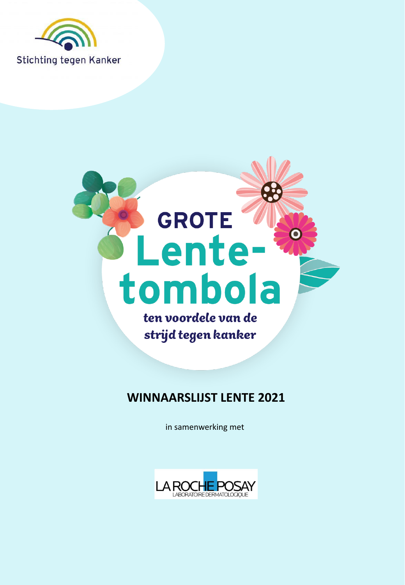



### **WINNAARSLIJST LENTE 2021**

in samenwerking met

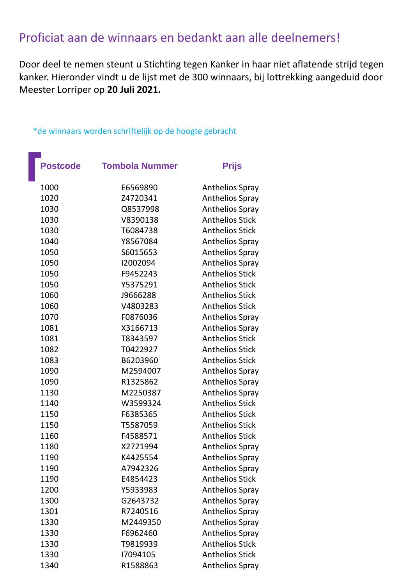# Proficiat aan de winnaars en bedankt aan alle deelnemers!

Door deel te nemen steunt u Stichting tegen Kanker in haar niet aflatende strijd tegen kanker. Hieronder vindt u de lijst met de 300 winnaars, bij lottrekking aangeduid door Meester Lorriper op **20 Juli 2021.** 

| <b>Postcode</b> | <b>Tombola Nummer</b> | <b>Prijs</b>           |
|-----------------|-----------------------|------------------------|
| 1000            | E6569890              | <b>Anthelios Spray</b> |
| 1020            | Z4720341              | <b>Anthelios Spray</b> |
| 1030            | Q8537998              | <b>Anthelios Spray</b> |
| 1030            | V8390138              | <b>Anthelios Stick</b> |
| 1030            | T6084738              | <b>Anthelios Stick</b> |
| 1040            | Y8567084              | <b>Anthelios Spray</b> |
| 1050            | S6015653              | <b>Anthelios Spray</b> |
| 1050            | 12002094              | <b>Anthelios Spray</b> |
| 1050            | F9452243              | <b>Anthelios Stick</b> |
| 1050            | Y5375291              | <b>Anthelios Stick</b> |
| 1060            | J9666288              | <b>Anthelios Stick</b> |
| 1060            | V4803283              | <b>Anthelios Stick</b> |
| 1070            | F0876036              | <b>Anthelios Spray</b> |
| 1081            | X3166713              | <b>Anthelios Spray</b> |
| 1081            | T8343597              | <b>Anthelios Stick</b> |
| 1082            | T0422927              | <b>Anthelios Stick</b> |
| 1083            | B6203960              | <b>Anthelios Stick</b> |
| 1090            | M2594007              | <b>Anthelios Spray</b> |
| 1090            | R1325862              | Anthelios Spray        |
| 1130            | M2250387              | <b>Anthelios Spray</b> |
| 1140            | W3599324              | <b>Anthelios Stick</b> |
| 1150            | F6385365              | <b>Anthelios Stick</b> |
| 1150            | T5587059              | <b>Anthelios Stick</b> |
| 1160            | F4588571              | <b>Anthelios Stick</b> |
| 1180            | X2721994              | <b>Anthelios Spray</b> |
| 1190            | K4425554              | <b>Anthelios Spray</b> |
| 1190            | A7942326              | <b>Anthelios Spray</b> |
| 1190            | E4854423              | <b>Anthelios Stick</b> |
| 1200            | Y5933983              | <b>Anthelios Spray</b> |
| 1300            | G2643732              | <b>Anthelios Spray</b> |
| 1301            | R7240516              | <b>Anthelios Spray</b> |
| 1330            | M2449350              | <b>Anthelios Spray</b> |
| 1330            | F6962460              | <b>Anthelios Spray</b> |
| 1330            | T9819939              | <b>Anthelios Stick</b> |
| 1330            | 17094105              | <b>Anthelios Stick</b> |
| 1340            | R1588863              | <b>Anthelios Spray</b> |

#### \*de winnaars worden schriftelijk op de hoogte gebracht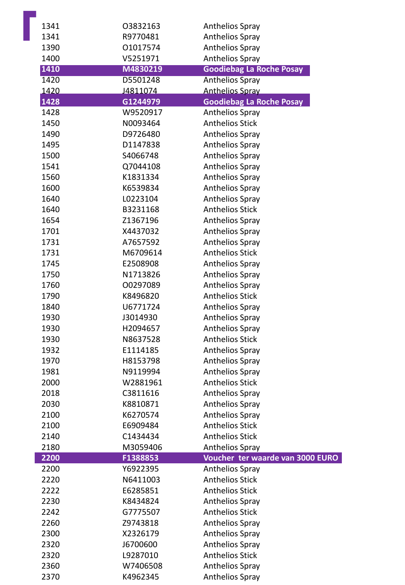| 1341 | 03832163 | <b>Anthelios Spray</b>           |
|------|----------|----------------------------------|
| 1341 | R9770481 | <b>Anthelios Spray</b>           |
| 1390 | 01017574 | <b>Anthelios Spray</b>           |
| 1400 | V5251971 | <b>Anthelios Spray</b>           |
| 1410 | M4830219 | <b>Goodiebag La Roche Posay</b>  |
| 1420 | D5501248 | <b>Anthelios Spray</b>           |
| 1420 | J4811074 | <b>Anthelios Spray</b>           |
| 1428 | G1244979 | <b>Goodiebag La Roche Posay</b>  |
| 1428 | W9520917 | <b>Anthelios Spray</b>           |
| 1450 | N0093464 | <b>Anthelios Stick</b>           |
| 1490 | D9726480 | <b>Anthelios Spray</b>           |
| 1495 | D1147838 | <b>Anthelios Spray</b>           |
| 1500 | S4066748 | <b>Anthelios Spray</b>           |
| 1541 | Q7044108 | <b>Anthelios Spray</b>           |
| 1560 | K1831334 | <b>Anthelios Spray</b>           |
| 1600 | K6539834 | <b>Anthelios Spray</b>           |
| 1640 | L0223104 | <b>Anthelios Spray</b>           |
| 1640 | B3231168 | <b>Anthelios Stick</b>           |
| 1654 | Z1367196 | <b>Anthelios Spray</b>           |
| 1701 | X4437032 | <b>Anthelios Spray</b>           |
| 1731 | A7657592 | <b>Anthelios Spray</b>           |
| 1731 | M6709614 | <b>Anthelios Stick</b>           |
| 1745 | E2508908 | <b>Anthelios Spray</b>           |
| 1750 | N1713826 | <b>Anthelios Spray</b>           |
| 1760 | 00297089 | <b>Anthelios Spray</b>           |
| 1790 | K8496820 | <b>Anthelios Stick</b>           |
| 1840 | U6771724 | <b>Anthelios Spray</b>           |
| 1930 | J3014930 | Anthelios Spray                  |
| 1930 | H2094657 | <b>Anthelios Spray</b>           |
| 1930 | N8637528 | <b>Anthelios Stick</b>           |
| 1932 | E1114185 | <b>Anthelios Spray</b>           |
| 1970 | H8153798 | <b>Anthelios Spray</b>           |
| 1981 | N9119994 | <b>Anthelios Spray</b>           |
| 2000 | W2881961 | <b>Anthelios Stick</b>           |
| 2018 | C3811616 | <b>Anthelios Spray</b>           |
| 2030 | K8810871 | <b>Anthelios Spray</b>           |
| 2100 | K6270574 | <b>Anthelios Spray</b>           |
| 2100 | E6909484 | <b>Anthelios Stick</b>           |
| 2140 | C1434434 | <b>Anthelios Stick</b>           |
| 2180 | M3059406 | <b>Anthelios Spray</b>           |
| 2200 | F1388853 | Voucher ter waarde van 3000 EURO |
| 2200 | Y6922395 | <b>Anthelios Spray</b>           |
| 2220 | N6411003 | <b>Anthelios Stick</b>           |
| 2222 | E6285851 | <b>Anthelios Stick</b>           |
| 2230 | K8434824 | <b>Anthelios Spray</b>           |
| 2242 | G7775507 | <b>Anthelios Stick</b>           |
| 2260 | Z9743818 | <b>Anthelios Spray</b>           |
| 2300 | X2326179 | <b>Anthelios Spray</b>           |
| 2320 | J6700600 | <b>Anthelios Spray</b>           |
| 2320 | L9287010 | <b>Anthelios Stick</b>           |
| 2360 | W7406508 | <b>Anthelios Spray</b>           |
| 2370 | K4962345 | <b>Anthelios Spray</b>           |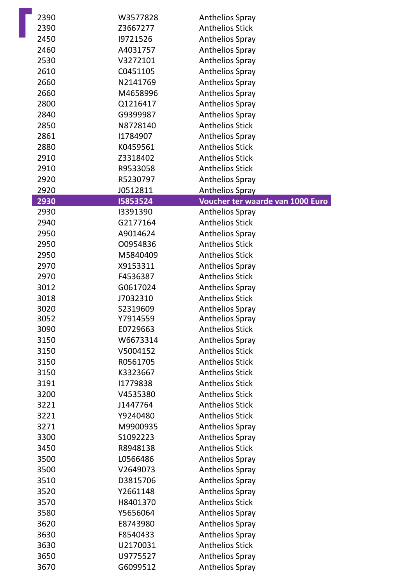| 2390 | W3577828 | <b>Anthelios Spray</b>           |
|------|----------|----------------------------------|
| 2390 | Z3667277 | <b>Anthelios Stick</b>           |
| 2450 | 19721526 | <b>Anthelios Spray</b>           |
| 2460 | A4031757 | <b>Anthelios Spray</b>           |
| 2530 | V3272101 | <b>Anthelios Spray</b>           |
| 2610 | C0451105 | <b>Anthelios Spray</b>           |
| 2660 | N2141769 | <b>Anthelios Spray</b>           |
| 2660 | M4658996 | <b>Anthelios Spray</b>           |
| 2800 | Q1216417 | <b>Anthelios Spray</b>           |
| 2840 | G9399987 | <b>Anthelios Spray</b>           |
| 2850 | N8728140 | <b>Anthelios Stick</b>           |
| 2861 | 11784907 | <b>Anthelios Spray</b>           |
| 2880 | K0459561 | <b>Anthelios Stick</b>           |
| 2910 | Z3318402 | <b>Anthelios Stick</b>           |
| 2910 | R9533058 | <b>Anthelios Stick</b>           |
| 2920 | R5230797 | <b>Anthelios Spray</b>           |
| 2920 | J0512811 | Anthelios Spray                  |
| 2930 | 15853524 | Voucher ter waarde van 1000 Euro |
| 2930 | 13391390 | <b>Anthelios Spray</b>           |
| 2940 | G2177164 | <b>Anthelios Stick</b>           |
| 2950 | A9014624 | Anthelios Spray                  |
| 2950 | 00954836 | <b>Anthelios Stick</b>           |
| 2950 | M5840409 | <b>Anthelios Stick</b>           |
| 2970 | X9153311 | <b>Anthelios Spray</b>           |
| 2970 | F4536387 | <b>Anthelios Stick</b>           |
| 3012 | G0617024 | <b>Anthelios Spray</b>           |
| 3018 | J7032310 | <b>Anthelios Stick</b>           |
| 3020 | S2319609 | <b>Anthelios Spray</b>           |
| 3052 | Y7914559 | <b>Anthelios Spray</b>           |
| 3090 | E0729663 | <b>Anthelios Stick</b>           |
| 3150 | W6673314 | <b>Anthelios Spray</b>           |
| 3150 | V5004152 | <b>Anthelios Stick</b>           |
| 3150 | R0561705 | <b>Anthelios Stick</b>           |
| 3150 | K3323667 | <b>Anthelios Stick</b>           |
| 3191 | 11779838 | <b>Anthelios Stick</b>           |
| 3200 | V4535380 | <b>Anthelios Stick</b>           |
| 3221 | J1447764 | <b>Anthelios Stick</b>           |
| 3221 | Y9240480 | <b>Anthelios Stick</b>           |
| 3271 | M9900935 | <b>Anthelios Spray</b>           |
| 3300 | S1092223 | <b>Anthelios Spray</b>           |
| 3450 | R8948138 | <b>Anthelios Stick</b>           |
| 3500 | L0566486 | <b>Anthelios Spray</b>           |
| 3500 | V2649073 | <b>Anthelios Spray</b>           |
| 3510 | D3815706 | <b>Anthelios Spray</b>           |
| 3520 | Y2661148 | <b>Anthelios Spray</b>           |
| 3570 | H8401370 | <b>Anthelios Stick</b>           |
| 3580 | Y5656064 | <b>Anthelios Spray</b>           |
| 3620 | E8743980 | <b>Anthelios Spray</b>           |
| 3630 | F8540433 | <b>Anthelios Spray</b>           |
| 3630 | U2170031 | <b>Anthelios Stick</b>           |
| 3650 | U9775527 | <b>Anthelios Spray</b>           |
| 3670 | G6099512 | <b>Anthelios Spray</b>           |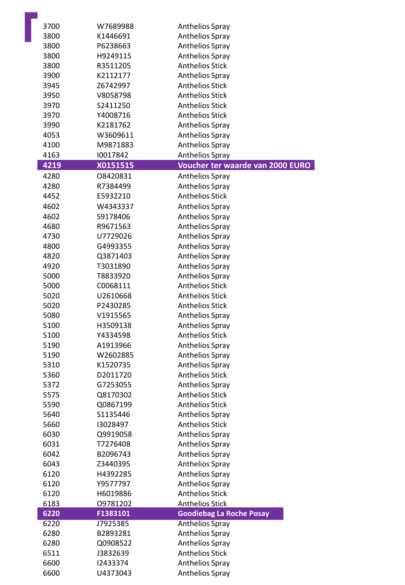| 3700 | W7689988 | Anthelios Spray                  |
|------|----------|----------------------------------|
| 3800 | K1446691 | <b>Anthelios Spray</b>           |
| 3800 | P6238663 | <b>Anthelios Spray</b>           |
| 3800 | H9249115 | <b>Anthelios Spray</b>           |
| 3800 | R3511205 | <b>Anthelios Stick</b>           |
| 3900 | K2112177 | Anthelios Spray                  |
| 3945 | Z6742997 | <b>Anthelios Stick</b>           |
| 3950 | V8058798 | <b>Anthelios Stick</b>           |
| 3970 | S2411250 | <b>Anthelios Stick</b>           |
| 3970 | Y4008716 | <b>Anthelios Stick</b>           |
| 3990 | K2181762 | Anthelios Spray                  |
| 4053 | W3609611 | Anthelios Spray                  |
| 4100 | M9871883 | <b>Anthelios Spray</b>           |
| 4163 | 10017842 | Anthelios Spray                  |
| 4219 | X0151515 | Voucher ter waarde van 2000 EURO |
| 4280 | 08420831 | <b>Anthelios Spray</b>           |
| 4280 | R7384499 | <b>Anthelios Spray</b>           |
| 4452 | E5932210 | <b>Anthelios Stick</b>           |
| 4602 | W4343337 | Anthelios Spray                  |
| 4602 | S9178406 | <b>Anthelios Spray</b>           |
| 4680 | R9671563 | <b>Anthelios Spray</b>           |
| 4730 | U7729026 | <b>Anthelios Spray</b>           |
| 4800 | G4993355 | <b>Anthelios Spray</b>           |
| 4820 | Q3871403 | Anthelios Spray                  |
| 4920 | T3031890 | Anthelios Spray                  |
| 5000 | T8833920 | Anthelios Spray                  |
| 5000 | C0068111 | <b>Anthelios Stick</b>           |
| 5020 | U2610668 | <b>Anthelios Stick</b>           |
| 5020 | P2430285 | <b>Anthelios Stick</b>           |
| 5080 | V1915565 | <b>Anthelios Spray</b>           |
| 5100 | H3509138 | Anthelios Spray                  |
| 5100 | Y4334598 | <b>Anthelios Stick</b>           |
| 5190 | A1913966 | <b>Anthelios Spray</b>           |
| 5190 | W2602885 | <b>Anthelios Spray</b>           |
| 5310 | K1520735 | <b>Anthelios Spray</b>           |
| 5360 | D2011720 | <b>Anthelios Stick</b>           |
| 5372 | G7253055 | <b>Anthelios Spray</b>           |
| 5575 | Q8170302 | <b>Anthelios Stick</b>           |
| 5590 | Q0867199 | <b>Anthelios Stick</b>           |
| 5640 | S1135446 | <b>Anthelios Spray</b>           |
| 5660 | 13028497 | <b>Anthelios Stick</b>           |
| 6030 | Q9919058 | Anthelios Spray                  |
| 6031 | T7276408 | <b>Anthelios Spray</b>           |
| 6042 | B2096743 | Anthelios Spray                  |
| 6043 | Z3440395 | Anthelios Spray                  |
| 6120 | H4392285 | Anthelios Spray                  |
| 6120 | Y9577797 | Anthelios Spray                  |
| 6120 | H6019886 | <b>Anthelios Stick</b>           |
| 6183 | 09781202 | <b>Anthelios Stick</b>           |
| 6220 | F1383101 | <b>Goodiebag La Roche Posay</b>  |
| 6220 | J7925385 | <b>Anthelios Spray</b>           |
| 6280 | B2893281 | <b>Anthelios Spray</b>           |
| 6280 | Q0908522 | <b>Anthelios Spray</b>           |
| 6511 | J3832639 | <b>Anthelios Stick</b>           |
| 6600 | 12433374 | <b>Anthelios Spray</b>           |
| 6600 | U4373043 | Anthelios Spray                  |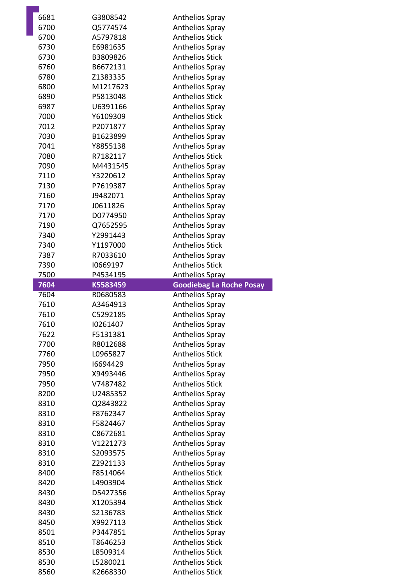| 6681         | G3808542             | <b>Anthelios Spray</b>                           |
|--------------|----------------------|--------------------------------------------------|
| 6700         | Q5774574             | <b>Anthelios Spray</b>                           |
| 6700         | A5797818             | <b>Anthelios Stick</b>                           |
| 6730         | E6981635             | <b>Anthelios Spray</b>                           |
| 6730         | B3809826             | <b>Anthelios Stick</b>                           |
| 6760         | B6672131             | <b>Anthelios Spray</b>                           |
| 6780         | Z1383335             | <b>Anthelios Spray</b>                           |
| 6800         | M1217623             | <b>Anthelios Spray</b>                           |
| 6890         | P5813048             | <b>Anthelios Stick</b>                           |
| 6987         | U6391166             | <b>Anthelios Spray</b>                           |
| 7000         | Y6109309             | <b>Anthelios Stick</b>                           |
| 7012         | P2071877             | Anthelios Spray                                  |
| 7030         | B1623899             | <b>Anthelios Spray</b>                           |
| 7041         | Y8855138             | Anthelios Spray                                  |
| 7080         | R7182117             | <b>Anthelios Stick</b>                           |
| 7090         | M4431545             | <b>Anthelios Spray</b>                           |
| 7110         | Y3220612             | <b>Anthelios Spray</b>                           |
| 7130         | P7619387             | <b>Anthelios Spray</b>                           |
| 7160         | J9482071             | <b>Anthelios Spray</b>                           |
| 7170         | J0611826             | Anthelios Spray                                  |
| 7170         | D0774950             | Anthelios Spray                                  |
| 7190         | Q7652595             | Anthelios Spray                                  |
| 7340         | Y2991443             | <b>Anthelios Spray</b>                           |
| 7340         | Y1197000             | <b>Anthelios Stick</b>                           |
| 7387         | R7033610             | Anthelios Spray                                  |
| 7390         | 10669197             | <b>Anthelios Stick</b>                           |
| 7500         | P4534195             | <b>Anthelios Spray</b>                           |
| 7604         | K5583459             | <b>Goodiebag La Roche Posay</b>                  |
| 7604         | R0680583             |                                                  |
|              |                      |                                                  |
|              |                      | <b>Anthelios Spray</b>                           |
| 7610         | A3464913             | <b>Anthelios Spray</b>                           |
| 7610         | C5292185             | Anthelios Spray                                  |
| 7610         | 10261407             | Anthelios Spray                                  |
| 7622         | F5131381             | <b>Anthelios Spray</b>                           |
| 7700         | R8012688             | <b>Anthelios Spray</b>                           |
| 7760         | L0965827             | <b>Anthelios Stick</b>                           |
| 7950         | 16694429             | <b>Anthelios Spray</b>                           |
| 7950         | X9493446             | <b>Anthelios Spray</b>                           |
| 7950         | V7487482             | <b>Anthelios Stick</b>                           |
| 8200         | U2485352             | <b>Anthelios Spray</b>                           |
| 8310         | Q2843822             | <b>Anthelios Spray</b>                           |
| 8310         | F8762347             | <b>Anthelios Spray</b>                           |
| 8310         | F5824467             | <b>Anthelios Spray</b>                           |
| 8310         | C8672681             | <b>Anthelios Spray</b>                           |
| 8310         | V1221273             | <b>Anthelios Spray</b>                           |
| 8310         | S2093575             | Anthelios Spray                                  |
| 8310         | Z2921133             | <b>Anthelios Spray</b>                           |
| 8400         | F8514064             | <b>Anthelios Stick</b>                           |
| 8420         | L4903904             | <b>Anthelios Stick</b>                           |
| 8430         | D5427356             | <b>Anthelios Spray</b>                           |
| 8430         | X1205394             | <b>Anthelios Stick</b>                           |
| 8430         | S2136783             | <b>Anthelios Stick</b>                           |
| 8450         | X9927113             | <b>Anthelios Stick</b>                           |
| 8501         | P3447851             | <b>Anthelios Spray</b>                           |
| 8510         | T8646253             | <b>Anthelios Stick</b>                           |
| 8530         | L8509314             | <b>Anthelios Stick</b>                           |
| 8530<br>8560 | L5280021<br>K2668330 | <b>Anthelios Stick</b><br><b>Anthelios Stick</b> |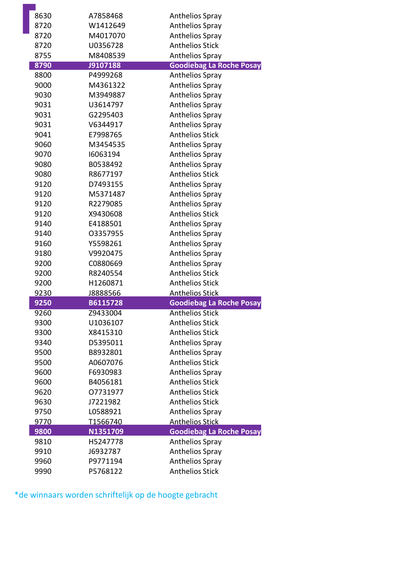| 8630         | A7858468             | <b>Anthelios Spray</b>                                    |
|--------------|----------------------|-----------------------------------------------------------|
| 8720         | W1412649             | <b>Anthelios Spray</b>                                    |
| 8720         | M4017070             | <b>Anthelios Spray</b>                                    |
| 8720         | U0356728             | <b>Anthelios Stick</b>                                    |
| 8755         | M8408539             | Anthelios Spray                                           |
| 8790         | J9107188             | <b>Goodiebag La Roche Posay</b>                           |
| 8800         | P4999268             | <b>Anthelios Spray</b>                                    |
| 9000         | M4361322             | <b>Anthelios Spray</b>                                    |
| 9030         | M3949887             | <b>Anthelios Spray</b>                                    |
| 9031         | U3614797             | <b>Anthelios Spray</b>                                    |
| 9031         | G2295403             | <b>Anthelios Spray</b>                                    |
| 9031         | V6344917             | Anthelios Spray                                           |
| 9041         | E7998765             | <b>Anthelios Stick</b>                                    |
| 9060         | M3454535             | Anthelios Spray                                           |
| 9070         | 16063194             | <b>Anthelios Spray</b>                                    |
| 9080         | B0538492             | <b>Anthelios Spray</b>                                    |
| 9080         | R8677197             | <b>Anthelios Stick</b>                                    |
| 9120         | D7493155             | <b>Anthelios Spray</b>                                    |
| 9120         | M5371487             | Anthelios Spray                                           |
| 9120         | R2279085             | <b>Anthelios Spray</b>                                    |
| 9120         | X9430608             | <b>Anthelios Stick</b>                                    |
| 9140         | E4188501             | <b>Anthelios Spray</b>                                    |
| 9140         | 03357955             | <b>Anthelios Spray</b>                                    |
| 9160         | Y5598261             | Anthelios Spray                                           |
| 9180         | V9920475             | <b>Anthelios Spray</b>                                    |
| 9200         | C0880669             | <b>Anthelios Spray</b>                                    |
| 9200         | R8240554             | <b>Anthelios Stick</b>                                    |
| 9200         | H1260871             | <b>Anthelios Stick</b>                                    |
| 9230         | J8888566             | <b>Anthelios Stick</b>                                    |
| 9250         | B6115728             | <b>Goodiebag La Roche Posay</b><br><b>Anthelios Stick</b> |
| 9260         | Z9433004<br>U1036107 | <b>Anthelios Stick</b>                                    |
| 9300<br>9300 | X8415310             | <b>Anthelios Stick</b>                                    |
| 9340         | D5395011             | <b>Anthelios Spray</b>                                    |
| 9500         | B8932801             | <b>Anthelios Spray</b>                                    |
| 9500         | A0607076             | <b>Anthelios Stick</b>                                    |
| 9600         | F6930983             | <b>Anthelios Spray</b>                                    |
| 9600         | B4056181             | <b>Anthelios Stick</b>                                    |
| 9620         | 07731977             | <b>Anthelios Stick</b>                                    |
| 9630         | J7221982             | <b>Anthelios Stick</b>                                    |
| 9750         | L0588921             | <b>Anthelios Spray</b>                                    |
| 9770         | T1566740             | <b>Anthelios Stick</b>                                    |
| 9800         | N1351709             | <b>Goodiebag La Roche Posay</b>                           |
| 9810         | H5247778             | <b>Anthelios Spray</b>                                    |
| 9910         | J6932787             | Anthelios Spray                                           |
| 9960         | P9771194             | Anthelios Spray                                           |
| 9990         | P5768122             | <b>Anthelios Stick</b>                                    |

\*de winnaars worden schriftelijk op de hoogte gebracht